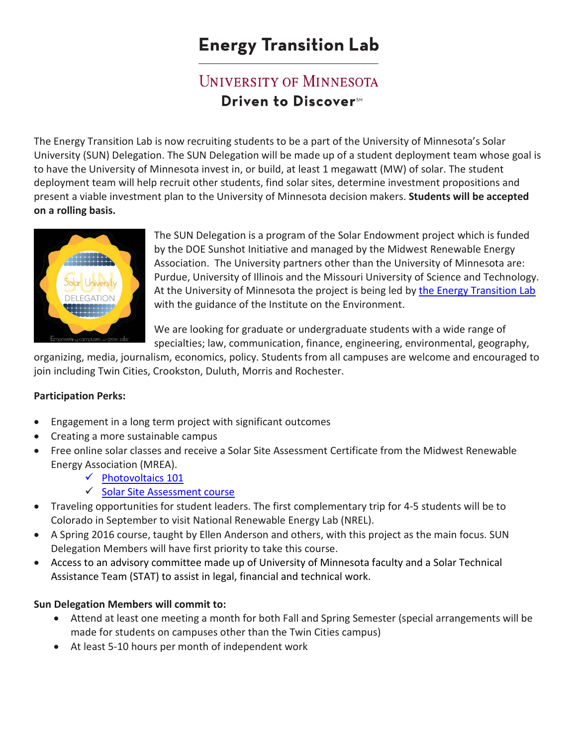# **Energy Transition Lab**

## **UNIVERSITY OF MINNESOTA Driven to Discover**™

The Energy Transition Lab is now recruiting students to be a part of the University of Minnesota's Solar University (SUN) Delegation. The SUN Delegation will be made up of a student deployment team whose goal is to have the University of Minnesota invest in, or build, at least 1 megawatt (MW) of solar. The student deployment team will help recruit other students, find solar sites, determine investment propositions and present a viable investment plan to the University of Minnesota decision makers. **Students will be accepted on a rolling basis.**



The SUN Delegation is a program of the Solar Endowment project which is funded by the DOE Sunshot Initiative and managed by the Midwest Renewable Energy Association. The University partners other than the University of Minnesota are: Purdue, University of Illinois and the Missouri University of Science and Technology. At the University of Minnesota the project is being led by [the Energy Transition Lab](http://energytransition.umn.edu/) with the guidance of the Institute on the Environment.

We are looking for graduate or undergraduate students with a wide range of specialties; law, communication, finance, engineering, environmental, geography,

organizing, media, journalism, economics, policy. Students from all campuses are welcome and encouraged to join including Twin Cities, Crookston, Duluth, Morris and Rochester.

#### **Participation Perks:**

- Engagement in a long term project with significant outcomes
- Creating a more sustainable campus
- Free online solar classes and receive a Solar Site Assessment Certificate from the Midwest Renewable Energy Association (MREA).
	- $\checkmark$  Photovoltaics 101
	- $\checkmark$  [Solar Site Assessment course](http://www.mreacertificate.org/)
- Traveling opportunities for student leaders. The first complementary trip for 4-5 students will be to Colorado in September to visit National Renewable Energy Lab (NREL).
- A Spring 2016 course, taught by Ellen Anderson and others, with this project as the main focus. SUN Delegation Members will have first priority to take this course.
- Access to an advisory committee made up of University of Minnesota faculty and a Solar Technical Assistance Team (STAT) to assist in legal, financial and technical work.

#### **Sun Delegation Members will commit to:**

- Attend at least one meeting a month for both Fall and Spring Semester (special arrangements will be made for students on campuses other than the Twin Cities campus)
- At least 5-10 hours per month of independent work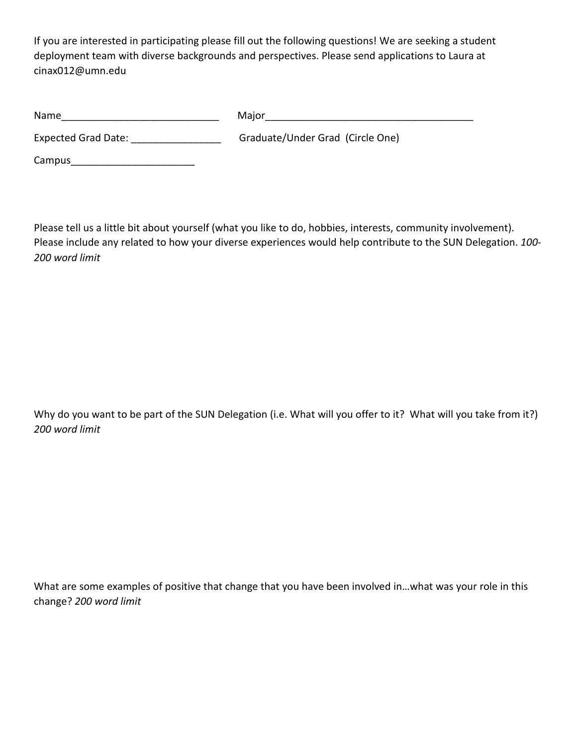If you are interested in participating please fill out the following questions! We are seeking a student deployment team with diverse backgrounds and perspectives. Please send applications to Laura at cinax012@umn.edu

| Name                       | Major                            |
|----------------------------|----------------------------------|
| <b>Expected Grad Date:</b> | Graduate/Under Grad (Circle One) |
| Campus                     |                                  |

Please tell us a little bit about yourself (what you like to do, hobbies, interests, community involvement). Please include any related to how your diverse experiences would help contribute to the SUN Delegation. *100- 200 word limit*

Why do you want to be part of the SUN Delegation (i.e. What will you offer to it? What will you take from it?) *200 word limit*

What are some examples of positive that change that you have been involved in…what was your role in this change? *200 word limit*